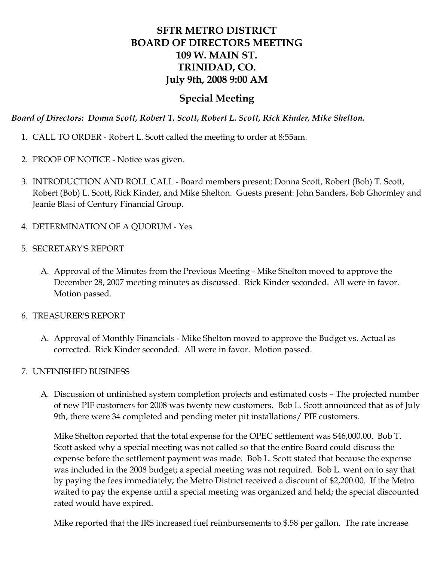# **SFTR METRO DISTRICT BOARD OF DIRECTORS MEETING 109 W. MAIN ST. TRINIDAD, CO. July 9th, 2008 9:00 AM**

### **Special Meeting**

*Board of Directors: Donna Scott, Robert T. Scott, Robert L. Scott, Rick Kinder, Mike Shelton.*

- 1. CALL TO ORDER Robert L. Scott called the meeting to order at 8:55am.
- 2. PROOF OF NOTICE Notice was given.
- 3. INTRODUCTION AND ROLL CALL Board members present: Donna Scott, Robert (Bob) T. Scott, Robert (Bob) L. Scott, Rick Kinder, and Mike Shelton. Guests present: John Sanders, Bob Ghormley and Jeanie Blasi of Century Financial Group.
- 4. DETERMINATION OF A QUORUM Yes
- 5. SECRETARY'S REPORT
	- A. Approval of the Minutes from the Previous Meeting Mike Shelton moved to approve the December 28, 2007 meeting minutes as discussed. Rick Kinder seconded. All were in favor. Motion passed.
- 6. TREASURER'S REPORT
	- A. Approval of Monthly Financials Mike Shelton moved to approve the Budget vs. Actual as corrected. Rick Kinder seconded. All were in favor. Motion passed.
- 7. UNFINISHED BUSINESS
	- A. Discussion of unfinished system completion projects and estimated costs The projected number of new PIF customers for 2008 was twenty new customers. Bob L. Scott announced that as of July 9th, there were 34 completed and pending meter pit installations/ PIF customers.

Mike Shelton reported that the total expense for the OPEC settlement was \$46,000.00. Bob T. Scott asked why a special meeting was not called so that the entire Board could discuss the expense before the settlement payment was made. Bob L. Scott stated that because the expense was included in the 2008 budget; a special meeting was not required. Bob L. went on to say that by paying the fees immediately; the Metro District received a discount of \$2,200.00. If the Metro waited to pay the expense until a special meeting was organized and held; the special discounted rated would have expired.

Mike reported that the IRS increased fuel reimbursements to \$.58 per gallon. The rate increase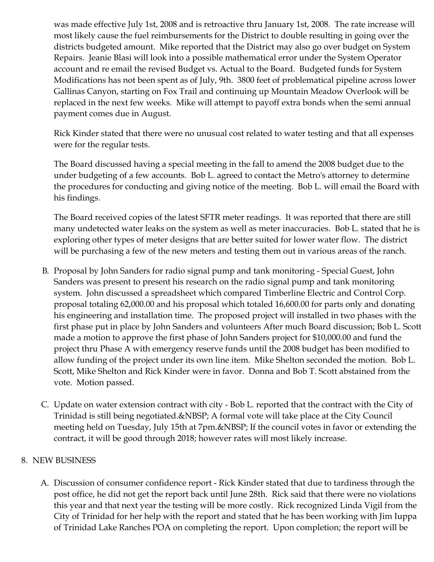was made effective July 1st, 2008 and is retroactive thru January 1st, 2008. The rate increase will most likely cause the fuel reimbursements for the District to double resulting in going over the districts budgeted amount. Mike reported that the District may also go over budget on System Repairs. Jeanie Blasi will look into a possible mathematical error under the System Operator account and re email the revised Budget vs. Actual to the Board. Budgeted funds for System Modifications has not been spent as of July, 9th. 3800 feet of problematical pipeline across lower Gallinas Canyon, starting on Fox Trail and continuing up Mountain Meadow Overlook will be replaced in the next few weeks. Mike will attempt to payoff extra bonds when the semi annual payment comes due in August.

Rick Kinder stated that there were no unusual cost related to water testing and that all expenses were for the regular tests.

The Board discussed having a special meeting in the fall to amend the 2008 budget due to the under budgeting of a few accounts. Bob L. agreed to contact the Metro's attorney to determine the procedures for conducting and giving notice of the meeting. Bob L. will email the Board with his findings.

The Board received copies of the latest SFTR meter readings. It was reported that there are still many undetected water leaks on the system as well as meter inaccuracies. Bob L. stated that he is exploring other types of meter designs that are better suited for lower water flow. The district will be purchasing a few of the new meters and testing them out in various areas of the ranch.

- B. Proposal by John Sanders for radio signal pump and tank monitoring Special Guest, John Sanders was present to present his research on the radio signal pump and tank monitoring system. John discussed a spreadsheet which compared Timberline Electric and Control Corp. proposal totaling 62,000.00 and his proposal which totaled 16,600.00 for parts only and donating his engineering and installation time. The proposed project will installed in two phases with the first phase put in place by John Sanders and volunteers After much Board discussion; Bob L. Scott made a motion to approve the first phase of John Sanders project for \$10,000.00 and fund the project thru Phase A with emergency reserve funds until the 2008 budget has been modified to allow funding of the project under its own line item. Mike Shelton seconded the motion. Bob L. Scott, Mike Shelton and Rick Kinder were in favor. Donna and Bob T. Scott abstained from the vote. Motion passed.
- C. Update on water extension contract with city Bob L. reported that the contract with the City of Trinidad is still being negotiated. & NBSP; A formal vote will take place at the City Council meeting held on Tuesday, July 15th at 7pm. If the council votes in favor or extending the contract, it will be good through 2018; however rates will most likely increase.

### 8. NEW BUSINESS

A. Discussion of consumer confidence report - Rick Kinder stated that due to tardiness through the post office, he did not get the report back until June 28th. Rick said that there were no violations this year and that next year the testing will be more costly. Rick recognized Linda Vigil from the City of Trinidad for her help with the report and stated that he has been working with Jim Iuppa of Trinidad Lake Ranches POA on completing the report. Upon completion; the report will be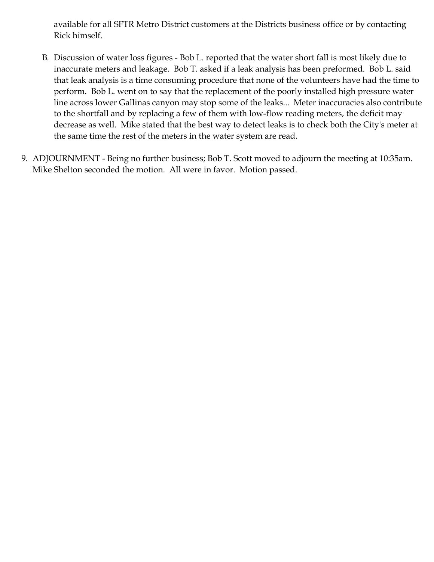available for all SFTR Metro District customers at the Districts business office or by contacting Rick himself.

- B. Discussion of water loss figures Bob L. reported that the water short fall is most likely due to inaccurate meters and leakage. Bob T. asked if a leak analysis has been preformed. Bob L. said that leak analysis is a time consuming procedure that none of the volunteers have had the time to perform. Bob L. went on to say that the replacement of the poorly installed high pressure water line across lower Gallinas canyon may stop some of the leaks... Meter inaccuracies also contribute to the shortfall and by replacing a few of them with low-flow reading meters, the deficit may decrease as well. Mike stated that the best way to detect leaks is to check both the City's meter at the same time the rest of the meters in the water system are read.
- 9. ADJOURNMENT Being no further business; Bob T. Scott moved to adjourn the meeting at 10:35am. Mike Shelton seconded the motion. All were in favor. Motion passed.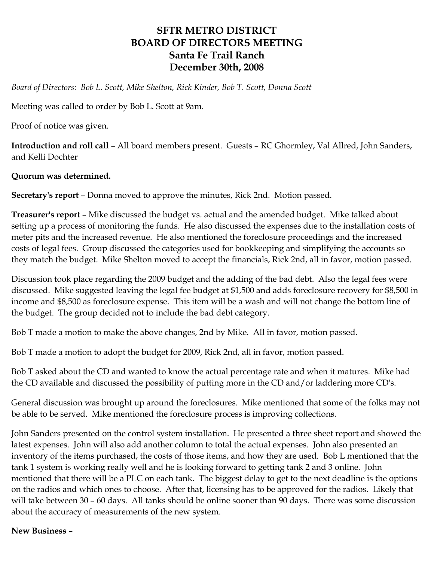## **SFTR METRO DISTRICT BOARD OF DIRECTORS MEETING Santa Fe Trail Ranch December 30th, 2008**

*Board of Directors: Bob L. Scott, Mike Shelton, Rick Kinder, Bob T. Scott, Donna Scott*

Meeting was called to order by Bob L. Scott at 9am.

Proof of notice was given.

**Introduction and roll call** – All board members present. Guests – RC Ghormley, Val Allred, John Sanders, and Kelli Dochter

#### **Quorum was determined.**

**Secretary's report** – Donna moved to approve the minutes, Rick 2nd. Motion passed.

**Treasurer's report** – Mike discussed the budget vs. actual and the amended budget. Mike talked about setting up a process of monitoring the funds. He also discussed the expenses due to the installation costs of meter pits and the increased revenue. He also mentioned the foreclosure proceedings and the increased costs of legal fees. Group discussed the categories used for bookkeeping and simplifying the accounts so they match the budget. Mike Shelton moved to accept the financials, Rick 2nd, all in favor, motion passed.

Discussion took place regarding the 2009 budget and the adding of the bad debt. Also the legal fees were discussed. Mike suggested leaving the legal fee budget at \$1,500 and adds foreclosure recovery for \$8,500 in income and \$8,500 as foreclosure expense. This item will be a wash and will not change the bottom line of the budget. The group decided not to include the bad debt category.

Bob T made a motion to make the above changes, 2nd by Mike. All in favor, motion passed.

Bob T made a motion to adopt the budget for 2009, Rick 2nd, all in favor, motion passed.

Bob T asked about the CD and wanted to know the actual percentage rate and when it matures. Mike had the CD available and discussed the possibility of putting more in the CD and/or laddering more CD's.

General discussion was brought up around the foreclosures. Mike mentioned that some of the folks may not be able to be served. Mike mentioned the foreclosure process is improving collections.

John Sanders presented on the control system installation. He presented a three sheet report and showed the latest expenses. John will also add another column to total the actual expenses. John also presented an inventory of the items purchased, the costs of those items, and how they are used. Bob L mentioned that the tank 1 system is working really well and he is looking forward to getting tank 2 and 3 online. John mentioned that there will be a PLC on each tank. The biggest delay to get to the next deadline is the options on the radios and which ones to choose. After that, licensing has to be approved for the radios. Likely that will take between 30 – 60 days. All tanks should be online sooner than 90 days. There was some discussion about the accuracy of measurements of the new system.

#### **New Business –**